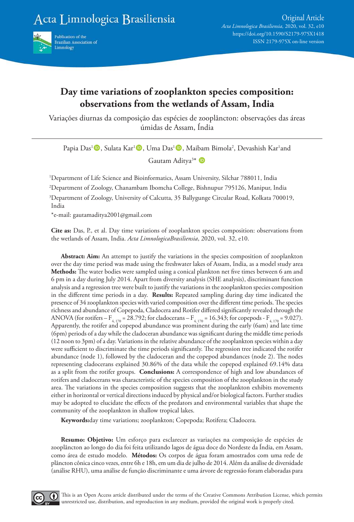Acta Limnologica Brasiliensia



# **Day time variations of zooplankton species composition: observations from the wetlands of Assam, India**

Variações diurnas da composição das espécies de zooplâncton: observações das áreas úmidas de Assam, Índia

Papia Das<sup>1</sup> D, Sulata Kar<sup>1</sup> D, Uma Das<sup>1</sup> D, Maibam Bimola<sup>2</sup>, Devashish Kar<sup>1</sup>and

Gautam Aditya<sup>3\*</sup>

<sup>1</sup>Department of Life Science and Bioinformatics, Assam University, Silchar 788011, India

<sup>2</sup>Department of Zoology, Chanambam Ibomcha College, Bishnupur 795126, Manipur, India

<sup>3</sup>Department of Zoology, University of Calcutta, 35 Ballygunge Circular Road, Kolkata 700019, India

\*e-mail: gautamaditya2001@gmail.com

**Cite as:** Das, P., et al. Day time variations of zooplankton species composition: observations from the wetlands of Assam, India. *Acta LimnologicaBrasiliensia*, 2020, vol. 32, e10.

**Abstract: Aim:** An attempt to justify the variations in the species composition of zooplankton over the day time period was made using the freshwater lakes of Assam, India, as a model study area **Methods:** The water bodies were sampled using a conical plankton net five times between 6 am and 6 pm in a day during July 2014. Apart from diversity analysis (SHE analysis), discriminant function analysis and a regression tree were built to justify the variations in the zooplankton species composition in the different time periods in a day. **Results:** Repeated sampling during day time indicated the presence of 34 zooplankton species with varied composition over the different time periods. The species richness and abundance of Copepoda, Cladocera and Rotifer differed significantly revealed through the ANOVA (for rotifers –  $F_{4, 170}$  = 28.792; for cladocerans –  $F_{4, 170}$  = 16.343; for copepods -  $F_{4, 170}$  = 9.027). Apparently, the rotifer and copepod abundance was prominent during the early (6am) and late time (6pm) periods of a day while the cladoceran abundance was significant during the middle time periods (12 noon to 3pm) of a day. Variations in the relative abundance of the zooplankton species within a day were sufficient to discriminate the time periods significantly. The regression tree indicated the rotifer abundance (node 1), followed by the cladoceran and the copepod abundances (node 2). The nodes representing cladocerans explained 30.86% of the data while the copepod explained 69.14% data as a split from the rotifer groups. **Conclusions:** A correspondence of high and low abundances of rotifers and cladocerans was characteristic of the species composition of the zooplankton in the study area. The variations in the species composition suggests that the zooplankton exhibits movements either in horizontal or vertical directions induced by physical and/or biological factors. Further studies may be adopted to elucidate the effects of the predators and environmental variables that shape the community of the zooplankton in shallow tropical lakes.

**Keywords:**day time variations; zooplankton; Copepoda; Rotifera; Cladocera.

**Resumo: Objetivo:** Um esforço para esclarecer as variações na composição de espécies de zooplâncton ao longo do dia foi feita utilizando lagos de água doce do Nordeste da Índia, em Assam, como área de estudo modelo. **Métodos:** Os corpos de água foram amostrados com uma rede de plâncton cônica cinco vezes, entre 6h e 18h, em um dia de julho de 2014. Além da análise de diversidade (análise RHU), uma análise de função discriminante e uma árvore de regressão foram elaboradas para

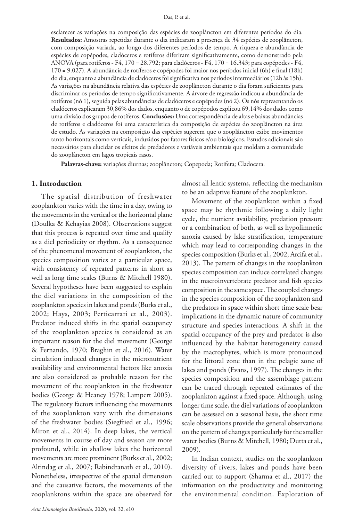esclarecer as variações na composição das espécies de zooplâncton em diferentes períodos do dia. **Resultados:** Amostras repetidas durante o dia indicaram a presença de 34 espécies de zooplâncton, com composição variada, ao longo dos diferentes períodos de tempo. A riqueza e abundância de espécies de copépodes, cladóceros e rotíferos diferiram significativamente, como demonstrado pela ANOVA (para rotíferos - F4, 170 = 28.792; para cladóceros - F4, 170 = 16.343; para copépodes - F4, 170 = 9.027). A abundância de rotíferos e copépodes foi maior nos períodos inicial (6h) e final (18h) do dia, enquanto a abundância de cladóceros foi significativa nos períodos intermediários (12h às 15h). As variações na abundância relativa das espécies de zooplâncton durante o dia foram suficientes para discriminar os períodos de tempo significativamente. A árvore de regressão indicou a abundância de rotíferos (nó 1), seguida pelas abundâncias de cladóceros e copépodes (nó 2). Os nós representando os cladóceros explicaram 30,86% dos dados, enquanto o de copépodos explicou 69,14% dos dados como uma divisão dos grupos de rotíferos. **Conclusões:** Uma correspondência de altas e baixas abundâncias de rotíferos e cladóceros foi uma característica da composição de espécies do zooplâncton na área de estudo. As variações na composição das espécies sugerem que o zooplâncton exibe movimentos tanto horizontais como verticais, induzidos por fatores físicos e/ou biológicos. Estudos adicionais são necessários para elucidar os efeitos de predadores e variáveis ambientais que moldam a comunidade do zooplâncton em lagos tropicais rasos.

**Palavras-chave:** variações diurnas; zooplâncton; Copepoda; Rotifera; Cladocera.

#### **1. Introduction**

The spatial distribution of freshwater zooplankton varies with the time in a day, owing to the movements in the vertical or the horizontal plane (Doulka & Kehayias 2008). Observations suggest that this process is repeated over time and qualify as a diel periodicity or rhythm. As a consequence of the phenomenal movement of zooplankton, the species composition varies at a particular space, with consistency of repeated patterns in short as well as long time scales (Burns & Mitchell 1980). Several hypotheses have been suggested to explain the diel variations in the composition of the zooplankton species in lakes and ponds (Burks et al., 2002; Hays, 2003; Perticarrari et al., 2003). Predator induced shifts in the spatial occupancy of the zooplankton species is considered as an important reason for the diel movement (George & Fernando, 1970; Braghin et al., 2016). Water circulation induced changes in the micronutrient availability and environmental factors like anoxia are also considered as probable reason for the movement of the zooplankton in the freshwater bodies (George & Heaney 1978; Lampert 2005). The regulatory factors influencing the movements of the zooplankton vary with the dimensions of the freshwater bodies (Siegfried et al., 1996; Miron et al., 2014). In deep lakes, the vertical movements in course of day and season are more profound, while in shallow lakes the horizontal movements are more prominent (Burks et al., 2002; Altindag et al., 2007; Rabindranath et al., 2010). Nonetheless, irrespective of the spatial dimension and the causative factors, the movements of the zooplanktons within the space are observed for almost all lentic systems, reflecting the mechanism to be an adaptive feature of the zooplankton.

Movement of the zooplankton within a fixed space may be rhythmic following a daily light cycle, the nutrient availability, predation pressure or a combination of both, as well as hypolimnetic anoxia caused by lake stratification, temperature which may lead to corresponding changes in the species composition (Burks et al., 2002; Arcifa et al., 2013). The pattern of changes in the zooplankton species composition can induce correlated changes in the macroinvertebrate predator and fish species composition in the same space. The coupled changes in the species composition of the zooplankton and the predators in space within short time scale bear implications in the dynamic nature of community structure and species interactions. A shift in the spatial occupancy of the prey and predator is also influenced by the habitat heterogeneity caused by the macrophytes, which is more pronounced for the littoral zone than in the pelagic zone of lakes and ponds (Evans, 1997). The changes in the species composition and the assemblage pattern can be traced through repeated estimates of the zooplankton against a fixed space. Although, using longer time scale, the diel variations of zooplankton can be assessed on a seasonal basis, the short time scale observations provide the general observations on the pattern of changes particularly for the smaller water bodies (Burns & Mitchell, 1980; Dutta et al., 2009).

In Indian context, studies on the zooplankton diversity of rivers, lakes and ponds have been carried out to support (Sharma et al., 2017) the information on the productivity and monitoring the environmental condition. Exploration of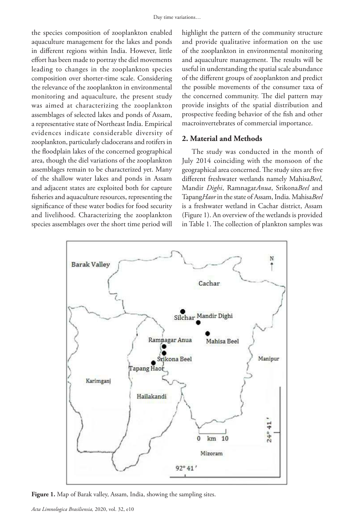the species composition of zooplankton enabled aquaculture management for the lakes and ponds in different regions within India. However, little effort has been made to portray the diel movements leading to changes in the zooplankton species composition over shorter-time scale. Considering the relevance of the zooplankton in environmental monitoring and aquaculture, the present study was aimed at characterizing the zooplankton assemblages of selected lakes and ponds of Assam, a representative state of Northeast India. Empirical evidences indicate considerable diversity of zooplankton, particularly cladocerans and rotifers in the floodplain lakes of the concerned geographical area, though the diel variations of the zooplankton assemblages remain to be characterized yet. Many of the shallow water lakes and ponds in Assam and adjacent states are exploited both for capture fisheries and aquaculture resources, representing the significance of these water bodies for food security and livelihood. Characterizing the zooplankton species assemblages over the short time period will

highlight the pattern of the community structure and provide qualitative information on the use of the zooplankton in environmental monitoring and aquaculture management. The results will be useful in understanding the spatial scale abundance of the different groups of zooplankton and predict the possible movements of the consumer taxa of the concerned community. The diel pattern may provide insights of the spatial distribution and prospective feeding behavior of the fish and other macroinvertebrates of commercial importance.

#### **2. Material and Methods**

The study was conducted in the month of July 2014 coinciding with the monsoon of the geographical area concerned. The study sites are five different freshwater wetlands namely Mahisa*Beel*, Mandir *Dighi*, Ramnagar*Anua*, Srikona*Beel* and Tapang*Haor* in the state of Assam, India. Mahisa*Beel* is a freshwater wetland in Cachar district, Assam (Figure 1). An overview of the wetlands is provided in Table 1. The collection of plankton samples was



**Figure 1.** Map of Barak valley, Assam, India, showing the sampling sites.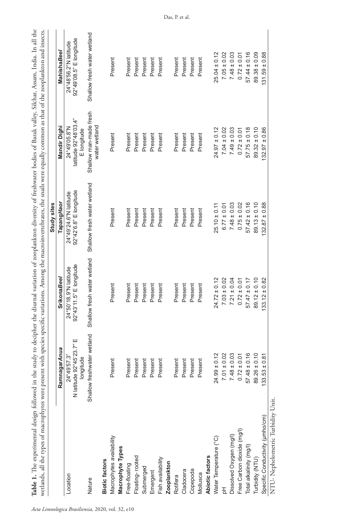|                                              |                                                         |                                                  | Study sites                                                                    |                                                     |                                                  |
|----------------------------------------------|---------------------------------------------------------|--------------------------------------------------|--------------------------------------------------------------------------------|-----------------------------------------------------|--------------------------------------------------|
|                                              | <b>RamnagarAnua</b>                                     | <b>SrikonaBeel</b>                               | TapangHaor                                                                     | Mandir Dighi                                        | <b>MahishaBeel</b>                               |
| Location                                     | ш<br>N latitude 92°45'23.7"<br>24°49'57.3"<br>longitude | 92°43'11.5" E longitude<br>24°50'18.9"N latitude | $92^{\circ}42^{\circ}6.8^{\circ} \text{ E longitude}$<br>24°49'24.6"N latitude | latitude 92°48'03.4"<br>24°49'05.8"N<br>E longitude | 92°49'08.5" E longitude<br>24°48'56.2"N latitude |
| <b>Biotic factors</b><br>Nature              | Shallow freshwater wetland                              | Shallow fresh water wetland                      | Shallow fresh water wetland                                                    | Shallow man-made fresh<br>water wetland             | Shallow fresh water wetland                      |
|                                              |                                                         |                                                  |                                                                                |                                                     |                                                  |
| Macrophytes availability<br>Macrophyte Types | Present                                                 | Present                                          | Present                                                                        | Present                                             | Present                                          |
| Free-floating                                | Present                                                 | Present                                          | Present                                                                        | Present                                             | Present                                          |
| Floating-rooted                              | Present                                                 | Present                                          | Present                                                                        | Present                                             | Present                                          |
| Submerged                                    | Present                                                 | Present                                          | Present                                                                        | Present                                             | Present                                          |
| Emergent                                     | Present                                                 | Present                                          | Present                                                                        | Present                                             | Present                                          |
| Fish availability                            | Present                                                 | Present                                          | Present                                                                        | Present                                             | Present                                          |
| <b>Zooplankton</b>                           |                                                         |                                                  |                                                                                |                                                     |                                                  |
| Rotifera                                     | Present                                                 | Present                                          | Present                                                                        | Present                                             | Present                                          |
| Cladocera                                    | Present                                                 | Present                                          | Present                                                                        | Present                                             | Present                                          |
| Copepoda                                     | Present                                                 | Present                                          | Present                                                                        | Present                                             | Present                                          |
| Mollusca                                     | Present                                                 | Present                                          | Present                                                                        | Present                                             | Present                                          |
| Abiotic factors                              |                                                         |                                                  |                                                                                |                                                     |                                                  |
| Water Temperature (°C)                       | $24.99 \pm 0.12$                                        | $24.72 \pm 0.12$                                 | $25.10 \pm 0.11$                                                               | $24.97 \pm 0.12$                                    | $25.04 \pm 0.12$                                 |
|                                              | $7.01 \pm 0.02$                                         | $7.03 \pm 0.02$                                  | $6.77 \pm 0.01$                                                                | $7.04 \pm 0.02$                                     | $7.05 \pm 0.02$                                  |
| Dissolved Oxygen (mg/l)                      | $7.48 \pm 0.03$                                         | $7.21 \pm 0.04$                                  | $7.48 \pm 0.03$                                                                | $7.49 \pm 0.03$                                     | $7.48 \pm 0.03$                                  |
| Free Carbon dioxide (mg/l)                   | $0.72 \pm 0.01$                                         | $0.72 \pm 0.01$                                  | $0.75 \pm 0.02$                                                                | $0.72 \pm 0.01$                                     | $0.72 \pm 0.01$                                  |
| Total alkalinity (mg/l)                      | $57.48 \pm 0.16$                                        | $57.47 \pm 0.17$                                 | $57.42 \pm 0.16$                                                               | $57.75 \pm 0.18$                                    | $57.44 \pm 0.16$                                 |
| Turbidity (NTU)                              | $89.26 \pm 0.10$                                        | $89.12 \pm 0.10$                                 | $89.13 \pm 0.10$                                                               | $89.32 \pm 0.10$                                    | $89.38 \pm 0.09$                                 |
| Specific Conductivity (umho/cm)              | $133.53 \pm 0.81$                                       | $33.12 \pm 0.82$                                 | ± 0.88<br>132.87                                                               | 0.86<br>$+1$<br>132.97                              | 0.88<br>$131.59 \pm$                             |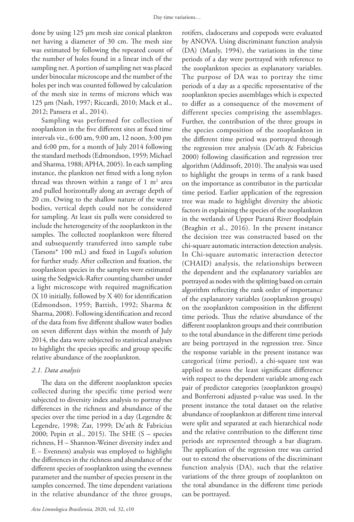done by using 125 µm mesh size conical plankton net having a diameter of 30 cm. The mesh size was estimated by following the repeated count of the number of holes found in a linear inch of the sampling net. A portion of sampling net was placed under binocular microscope and the number of the holes per inch was counted followed by calculation of the mesh size in terms of microns which was 125 µm (Nash, 1997; Riccardi, 2010; Mack et al., 2012; Pansera et al., 2014).

Sampling was performed for collection of zooplankton in the five different sites at fixed time intervals viz., 6:00 am, 9:00 am, 12 noon, 3:00 pm and 6:00 pm, for a month of July 2014 following the standard methods (Edmondson, 1959; Michael and Sharma, 1988; APHA, 2005). In each sampling instance, the plankton net fitted with a long nylon thread was thrown within a range of  $1 \text{ m}^2$  area and pulled horizontally along an average depth of 20 cm. Owing to the shallow nature of the water bodies, vertical depth could not be considered for sampling. At least six pulls were considered to include the heterogeneity of the zooplankton in the samples. The collected zooplankton were filtered and subsequently transferred into sample tube (Tarsons\* 100 mL) and fixed in Lugol's solution for further study. After collection and fixation, the zooplankton species in the samples were estimated using the Sedgwick-Rafter counting chamber under a light microscope with required magnification (X 10 initially, followed by X 40) for identification (Edmondson, 1959; Battish, 1992; Sharma & Sharma, 2008). Following identification and record of the data from five different shallow water bodies on seven different days within the month of July 2014, the data were subjected to statistical analyses to highlight the species specific and group specific relative abundance of the zooplankton.

## *2.1. Data analysis*

The data on the different zooplankton species collected during the specific time period were subjected to diversity index analysis to portray the differences in the richness and abundance of the species over the time period in a day (Legendre & Legendre, 1998; Zar, 1999; De'ath & Fabricius 2000; Pepin et al., 2015). The SHE (S – species richness, H – Shannon-Weiner diversity index and E – Evenness) analysis was employed to highlight the differences in the richness and abundance of the different species of zooplankton using the evenness parameter and the number of species present in the samples concerned. The time dependent variations in the relative abundance of the three groups,

rotifers, cladocerans and copepods were evaluated by ANOVA. Using discriminant function analysis (DA) (Manly, 1994), the variations in the time periods of a day were portrayed with reference to the zooplankton species as explanatory variables. The purpose of DA was to portray the time periods of a day as a specific representative of the zooplankton species assemblages which is expected to differ as a consequence of the movement of different species comprising the assemblages. Further, the contribution of the three groups in the species composition of the zooplankton in the different time period was portrayed through the regression tree analysis (De'ath & Fabricius 2000) following classification and regression tree algorithm (Addinsoft, 2010). The analysis was used to highlight the groups in terms of a rank based on the importance as contributor in the particular time period. Earlier application of the regression tree was made to highlight diversity the abiotic factors in explaining the species of the zooplankton in the wetlands of Upper Paraná River floodplain (Braghin et al., 2016). In the present instance the decision tree was constructed based on the chi-square automatic interaction detection analysis. In Chi-square automatic interaction detector (CHAID) analysis, the relationships between the dependent and the explanatory variables are portrayed as nodes with the splitting based on certain algorithm reflecting the rank order of importance of the explanatory variables (zooplankton groups) on the zooplankton composition in the different time periods. Thus the relative abundance of the different zooplankton groups and their contribution to the total abundance in the different time periods are being portrayed in the regression tree. Since the response variable in the present instance was categorical (time period), a chi-square test was applied to assess the least significant difference with respect to the dependent variable among each pair of predictor categories (zooplankton groups) and Bonferroni adjusted p-value was used. In the present instance the total dataset on the relative abundance of zooplankton at different time interval were split and separated at each hierarchical node and the relative contribution to the different time periods are represented through a bar diagram. The application of the regression tree was carried out to extend the observations of the discriminant function analysis (DA), such that the relative variations of the three groups of zooplankton on the total abundance in the different time periods can be portrayed.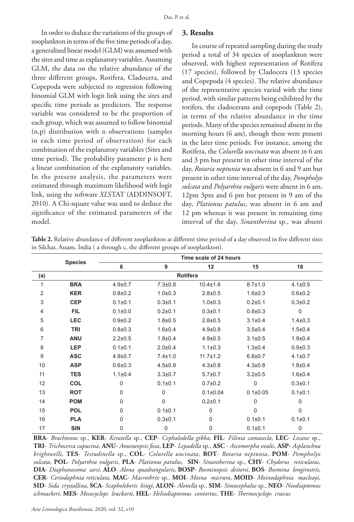In order to deduce the variations of the groups of zooplankton in terms of the five time periods of a day, a generalized linear model (GLM) was assumed with the sites and time as explanatory variables. Assuming GLM, the data on the relative abundance of the three different groups, Rotifera, Cladocera, and Copepoda were subjected to regression following binomial GLM with logit link using the sites and specific time periods as predictors. The response variable was considered to be the proportion of each group, which was assumed to follow binomial (n,p) distribution with n observations (samples in each time period of observation) for each combination of the explanatory variables (Sites and time period). The probability parameter p is here a linear combination of the explanatory variables. In the present analysis, the parameters were estimated through maximum likelihood with logit link, using the software *XL*STAT (ADDINSOFT, 2010). A Chi-square value was used to deduce the significance of the estimated parameters of the model.

#### **3. Results**

In course of repeated sampling during the study period a total of 34 species of zooplankton were observed, with highest representation of Rotifera (17 species), followed by Cladocera (13 species and Copepoda (4 species). The relative abundance of the representative species varied with the time period, with similar patterns being exhibited by the rotifers, the cladocerans and copepods (Table 2), in terms of the relative abundance in the time periods. Many of the species remained absent in the morning hours (6 am), though these were present in the later time periods. For instance, among the Rotifera, the *Colurella uncinata* was absent in 6 am and 3 pm but present in other time interval of the day, *Rotaria neptunia* was absent in 6 and 9 am but present in other time interval of the day, *Pompholyx sulcata* and *Polyarthra vulgaris* were absent in 6 am, 12pm 3pm and 6 pm but present in 9 am of the day, *Plationus patulus*, was absent in 6 am and 12 pm whereas it was present in remaining time interval of the day, *Sinantherina* sp., was absent

**Table 2.** Relative abundance of different zooplankton at different time period of a day observed in five different sites in Silchar, Assam, India ( a through c, the different groups of zooplankton).

|              | <b>Species</b> | Time scale of 24 hours |               |                |                |                |  |
|--------------|----------------|------------------------|---------------|----------------|----------------|----------------|--|
|              |                | 6                      | 9             | 12             | 15             | 18             |  |
| (a)          |                | Rotifera               |               |                |                |                |  |
| $\mathbf{1}$ | <b>BRA</b>     | $4.9 \pm 0.7$          | $7.3 \pm 0.8$ | $10.4 \pm 1.6$ | $8.7 \pm 1.0$  | $4.1 \pm 0.5$  |  |
| 2            | <b>KER</b>     | $0.8 + 0.2$            | $1.0 + 0.3$   | $2.8 + 0.5$    | $1.6 + 0.3$    | $0.6 + 0.2$    |  |
| 3            | <b>CEP</b>     | $0.1 \pm 0.1$          | $0.3 + 0.1$   | $1.0 + 0.3$    | $0.2 + 0.1$    | $0.3 \pm 0.2$  |  |
| 4            | <b>FIL</b>     | $0.1 \pm 0.0$          | $0.2 + 0.1$   | $0.3 + 0.1$    | $0.8 + 0.3$    | $\overline{0}$ |  |
| 5            | <b>LEC</b>     | $0.9 + 0.2$            | $1.8 + 0.5$   | $2.8 + 0.5$    | $3.1 \pm 0.4$  | $1.4 \pm 0.3$  |  |
| 6            | <b>TRI</b>     | $0.8 + 0.3$            | $1.6 + 0.4$   | $4.9 \pm 0.8$  | $3.5 \pm 0.4$  | $1.5 + 0.4$    |  |
| 7            | <b>ANU</b>     | $2.2 \pm 0.5$          | $1.8 + 0.4$   | $4.9 \pm 0.5$  | $3.1 \pm 0.5$  | $1.9 + 0.4$    |  |
| 8            | <b>LEP</b>     | $0.1 \pm 0.1$          | $2.0 \pm 0.4$ | $1.1 \pm 0.3$  | $1.3 + 0.4$    | $0.9 + 0.3$    |  |
| 9            | <b>ASC</b>     | $4.9 \pm 0.7$          | $7.4 \pm 1.0$ | $11.7 \pm 1.2$ | $6.8 + 0.7$    | $4.1 \pm 0.7$  |  |
| 10           | <b>ASP</b>     | $0.6 + 0.3$            | $4.5 \pm 0.8$ | $4.3 \pm 0.8$  | $4.3 \pm 0.8$  | $1.8 + 0.4$    |  |
| 11           | <b>TES</b>     | $1.1 \pm 0.4$          | $3.3 + 0.7$   | $5.7 \pm 0.7$  | $3.2 \pm 0.5$  | $1.6 + 0.4$    |  |
| 12           | <b>COL</b>     | $\mathbf 0$            | $0.1 \pm 0.1$ | $0.7 \pm 0.2$  | $\mathbf{0}$   | $0.3 + 0.1$    |  |
| 13           | <b>ROT</b>     | $\Omega$               | $\Omega$      | $0.1 \pm 0.04$ | $0.1 \pm 0.05$ | $0.1 \pm 0.1$  |  |
| 14           | <b>POM</b>     | $\Omega$               | 0             | $0.2 + 0.1$    | $\mathbf{0}$   | $\Omega$       |  |
| 15           | <b>POL</b>     | $\Omega$               | $0.1 \pm 0.1$ | $\mathbf 0$    | 0              | 0              |  |
| 16           | <b>PLA</b>     | $\mathbf 0$            | $0.3 + 0.1$   | $\mathbf 0$    | $0.1 \pm 0.1$  | $0.1 \pm 0.1$  |  |
| 17           | <b>SIN</b>     | $\mathbf 0$            | $\mathbf 0$   | $\mathbf 0$    | $0.1 \pm 0.1$  | 0              |  |

**BRA**- *Brachionus* sp., **KER**- *Keratella* sp., **CEP**- *Cephalodella gibba*, **FIL**- *Filinia camasecla*, **LEC**- *Lecane* sp., **TRI**- *Trichocerca capucina*, **ANU**- *Anuraeopsis fissa*, **LEP**- *Lepadella* sp., **ASC** - *Ascomorpha ovalis*, **ASP**- *Asplanchna brightwelli*, **TES**- *Testudinella* sp., **COL**- *Colurella uncinata*, **ROT**- *Rotaria neptunia*, **POM**- *Pompholyx sulcata*, **POL**- *Polyarthra vulgaris*, **PLA**- *Plationus patulus,* **SIN**- *Sinantherina* sp., **CHY**- *Chydorus reticulatus*, **DIA**- *Diaphanosoma sarsi*, **ALO**- *Alona quadrangularis*, **BOSP**- *Bosminopsis deitersi*, **BOS**- *Bosmina longirostris*, **CER**- *Ceriodaphnia reticulata*, **MAC**- *Macrothrix* sp., **MOI**- *Moina micrura*, **MOID**- *Moinodaphnia macleayi*, **SID**- *Sida crystallina*, **SCA**- *Scapholeberis kingi*, **ALON**- *Alonella* sp., **SIM**- *Simocephalus* sp., **NEO**- *Neodiaptomus schmackeri*, **MES**- *Mesocyclops leuckarti*, **HEL**- *Heliodiaptomus contortus*, **THE**- *Thermocyclops crassus*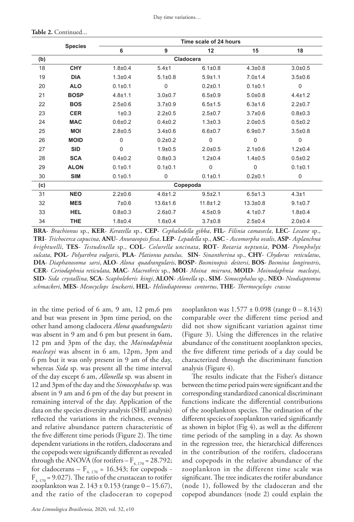|     | <b>Species</b> | Time scale of 24 hours |                |               |                |               |  |
|-----|----------------|------------------------|----------------|---------------|----------------|---------------|--|
|     |                | 6                      | 9              | 12            | 15             | 18            |  |
| (b) |                | Cladocera              |                |               |                |               |  |
| 18  | <b>CHY</b>     | $1.8 + 0.4$            | $5.4 + 1$      | $6.1 \pm 0.8$ | $4.3 \pm 0.8$  | $3.0 + 0.5$   |  |
| 19  | <b>DIA</b>     | $1.3 + 0.4$            | $5.1 \pm 0.8$  | $5.9 + 1.1$   | $7.0 \pm 1.4$  | $3.5 \pm 0.6$ |  |
| 20  | <b>ALO</b>     | $0.1 \pm 0.1$          | $\mathbf 0$    | $0.2 + 0.1$   | $0.1 \pm 0.1$  | $\Omega$      |  |
| 21  | <b>BOSP</b>    | $4.8 + 1.1$            | $3.0 + 0.7$    | $6.5 \pm 0.9$ | $5.0 + 0.8$    | $4.4 \pm 1.2$ |  |
| 22  | <b>BOS</b>     | $2.5 \pm 0.6$          | $3.7 \pm 0.9$  | $6.5 \pm 1.5$ | $6.3 + 1.6$    | $2.2 \pm 0.7$ |  |
| 23  | <b>CER</b>     | $1\pm0.3$              | $2.2 \pm 0.5$  | $2.5 \pm 0.7$ | $3.7 \pm 0.6$  | $0.8 + 0.3$   |  |
| 24  | <b>MAC</b>     | $0.6 + 0.2$            | $0.4 \pm 0.2$  | $1.3 \pm 0.3$ | $2.0 \pm 0.5$  | $0.5 + 0.2$   |  |
| 25  | <b>MOI</b>     | $2.8 + 0.5$            | $3.4 \pm 0.6$  | $6.6 + 0.7$   | $6.9 + 0.7$    | $3.5 \pm 0.8$ |  |
| 26  | <b>MOID</b>    | $\Omega$               | $0.2 + 0.2$    | $\Omega$      | 0              | $\Omega$      |  |
| 27  | <b>SID</b>     | $\mathbf 0$            | $1.9 + 0.5$    | $2.0 + 0.5$   | $2.1 \pm 0.6$  | $1.2 + 0.4$   |  |
| 28  | <b>SCA</b>     | $0.4 \pm 0.2$          | $0.8 + 0.3$    | $1.2 + 0.4$   | $1.4 + 0.5$    | $0.5 \pm 0.2$ |  |
| 29  | <b>ALON</b>    | $0.1 \pm 0.1$          | $0.1 \pm 0.1$  | $\mathbf 0$   | $\mathbf 0$    | $0.1 \pm 0.1$ |  |
| 30  | <b>SIM</b>     | $0.1 + 0.1$            | $\mathbf 0$    | $0.1 \pm 0.1$ | $0.2 + 0.1$    | $\Omega$      |  |
| (c) |                | Copepoda               |                |               |                |               |  |
| 31  | <b>NEO</b>     | $2.2 \pm 0.6$          | $4.6 \pm 1.2$  | $9.5 \pm 2.1$ | $6.5 \pm 1.3$  | $4.3 \pm 1$   |  |
| 32  | <b>MES</b>     | 7±0.6                  | $13.6 \pm 1.6$ | $11.8 + 1.2$  | $13.3 \pm 0.8$ | $9.1 \pm 0.7$ |  |
| 33  | <b>HEL</b>     | $0.8 + 0.3$            | $2.6 + 0.7$    | $4.5 \pm 0.9$ | $4.1 \pm 0.7$  | $1.8 + 0.4$   |  |
| 34  | <b>THE</b>     | $1.8 + 0.4$            | $1.6 + 0.4$    | $3.7 + 0.8$   | $2.5 \pm 0.4$  | $2.0 + 0.4$   |  |

**Table 2.** Continued...

**BRA**- *Brachionus* sp., **KER**- *Keratella* sp., **CEP**- *Cephalodella gibba*, **FIL**- *Filinia camasecla*, **LEC**- *Lecane* sp., **TRI**- *Trichocerca capucina*, **ANU**- *Anuraeopsis fissa*, **LEP**- *Lepadella* sp., **ASC** - *Ascomorpha ovalis*, **ASP**- *Asplanchna brightwelli*, **TES**- *Testudinella* sp., **COL**- *Colurella uncinata*, **ROT**- *Rotaria neptunia*, **POM**- *Pompholyx sulcata*, **POL**- *Polyarthra vulgaris*, **PLA**- *Plationus patulus,* **SIN**- *Sinantherina* sp., **CHY**- *Chydorus reticulatus*, **DIA**- *Diaphanosoma sarsi*, **ALO**- *Alona quadrangularis*, **BOSP**- *Bosminopsis deitersi*, **BOS**- *Bosmina longirostris*, **CER**- *Ceriodaphnia reticulata*, **MAC**- *Macrothrix* sp., **MOI**- *Moina micrura*, **MOID**- *Moinodaphnia macleayi*, **SID**- *Sida crystallina*, **SCA**- *Scapholeberis kingi*, **ALON**- *Alonella* sp., **SIM**- *Simocephalus* sp., **NEO**- *Neodiaptomus schmackeri*, **MES**- *Mesocyclops leuckarti*, **HEL**- *Heliodiaptomus contortus*, **THE**- *Thermocyclops crassus*

in the time period of 6 am, 9 am, 12 pm,6 pm and but was present in 3pm time period, on the other hand among cladocera *Alona quadrangularis* was absent in 9 am and 6 pm but present in 6am, 12 pm and 3pm of the day, the *Moinodaphnia macleayi* was absent in 6 am, 12pm, 3pm and 6 pm but it was only present in 9 am of the day, whereas *Sida* sp. was present all the time interval of the day except 6 am, *Allonella* sp. was absent in 12 and 3pm of the day and the *Simocephalus* sp. was absent in 9 am and 6 pm of the day but present in remaining interval of the day. Application of the data on the species diversity analysis (SHE analysis) reflected the variations in the richness, evenness and relative abundance pattern characteristic of the five different time periods (Figure 2). The time dependent variations in the rotifers, cladocerans and the copepods were significantly different as revealed through the ANOVA (for rotifers –  $F_{4, 170} = 28.792$ ; for cladocerans –  $F_{4, 170} = 16.343$ ; for copepods - $F_{4,170}$  = 9.027). The ratio of the crustacean to rotifer zooplankton was 2.  $143 \pm 0.153$  (range  $0 - 15.67$ ), and the ratio of the cladoceran to copepod

zooplankton was  $1.577 \pm 0.098$  (range  $0 - 8.143$ ) comparable over the different time period and did not show significant variation against time (Figure 3). Using the differences in the relative abundance of the constituent zooplankton species, the five different time periods of a day could be characterized through the discriminant function analysis (Figure 4).

The results indicate that the Fisher's distance between the time period pairs were significant and the corresponding standardized canonical discriminant functions indicate the differential contributions of the zooplankton species. The ordination of the different species of zooplankton varied significantly as shown in biplot (Fig 4), as well as the different time periods of the sampling in a day. As shown in the regression tree, the hierarchical differences in the contribution of the rotifers, cladocerans and copepods in the relative abundance of the zooplankton in the different time scale was significant. The tree indicates the rotifer abundance (node 1), followed by the cladoceran and the copepod abundances (node 2) could explain the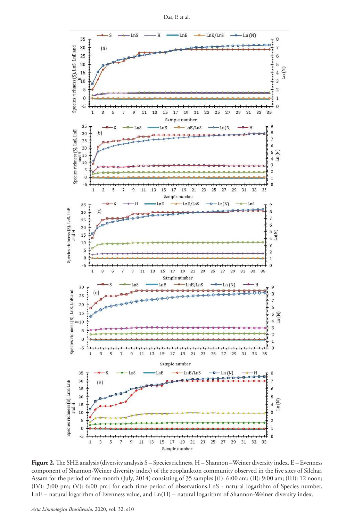

**Figure 2.** The SHE analysis (diversity analysis S – Species richness, H – Shannon – Weiner diversity index, E – Evenness component of Shannon-Weiner diversity index) of the zooplankton community observed in the five sites of Silchar, Assam for the period of one month (July, 2014) consisting of 35 samples [(I): 6:00 am; (II): 9:00 am; (III): 12 noon; (IV): 3:00 pm; (V): 6:00 pm] for each time period of observations.LnS - natural logarithm of Species number, LnE – natural logarithm of Evenness value, and Ln(H) – natural logarithm of Shannon-Weiner diversity index.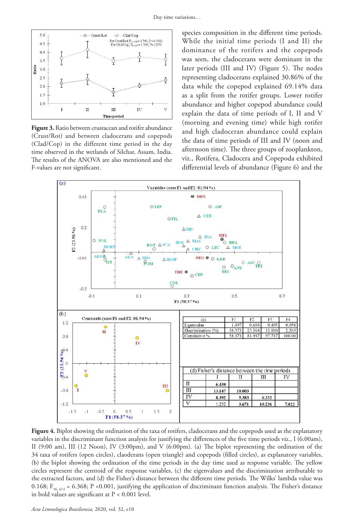

**Figure 3.** Ratio between crustacean and rotifer abundance (Crust/Rot) and between cladocerans and copepods (Clad/Cop) in the different time period in the day time observed in the wetlands of Silchar, Assam, India. The results of the ANOVA are also mentioned and the F-values are not significant.

species composition in the different time periods. While the initial time periods (I and II) the dominance of the rotifers and the copepods was seen, the cladocerans were dominant in the later periods (III and IV) (Figure 5). The nodes representing cladocerans explained 30.86% of the data while the copepod explained 69.14% data as a split from the rotifer groups. Lower rotifer abundance and higher copepod abundance could explain the data of time periods of I, II and V (morning and evening time) while high rotifer and high cladoceran abundance could explain the data of time periods of III and IV (noon and afternoon time). The three groups of zooplankton, viz., Rotifera, Cladocera and Copepoda exhibited differential levels of abundance (Figure 6) and the



**Figure 4.** Biplot showing the ordination of the taxa of rotifers, cladocerans and the copepods used as the explanatory variables in the discriminant function analysis for justifying the differences of the five time periods viz., I (6:00am), II (9:00 am), III (12 Noon), IV (3:00pm), and V (6:00pm). (a) The biplot representing the ordination of the 34 taxa of rotifers (open circles), claoderans (open triangle) and copepods (filled circles), as explanatory variables, (b) the biplot showing the ordination of the time periods in the day time used as response variable. The yellow circles represent the centroid of the response variables, (c) the eigenvalues and the discrimination attributable to the extracted factors, and (d) the Fisher's distance between the different time periods. The Wilks' lambda value was 0.168;  $F_{56,613} = 6.368$ ; P <0.001, justifying the application of discriminant function analysis. The Fisher's distance in bold values are significant at P < 0.001 level.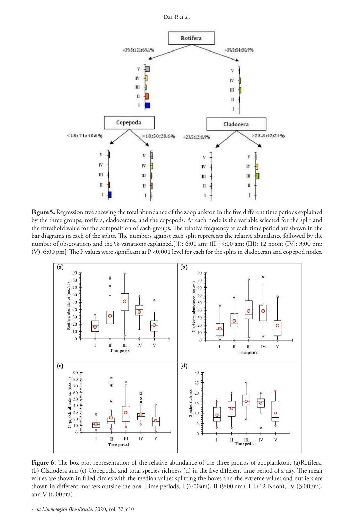



**Figure 5.** Regression tree showing the total abundance of the zooplankton in the five different time periods explained by the three groups, rotifers, cladocerans, and the copepods. At each node is the variable selected for the split and the threshold value for the composition of each groups. The relative frequency at each time period are shown in the bar diagrams in each of the splits. The numbers against each split represents the relative abundance followed by the number of observations and the % variations explained.[(I): 6:00 am; (II): 9:00 am; (III): 12 noon; (IV): 3:00 pm; (V): 6:00 pm] The P values were significant at P <0.001 level for each for the splits in cladoceran and copepod nodes.



Figure 6. The box plot representation of the relative abundance of the three groups of zooplankton, (a)Rotifera, (b) Cladodera and (c) Copepoda, and total species richness (d) in the five different time period of a day. The mean values are shown in filled circles with the median values splitting the boxes and the extreme values and outliers are shown in different markers outside the box. Time periods, I (6:00am), II (9:00 am), III (12 Noon), IV (3:00pm), and V (6:00pm).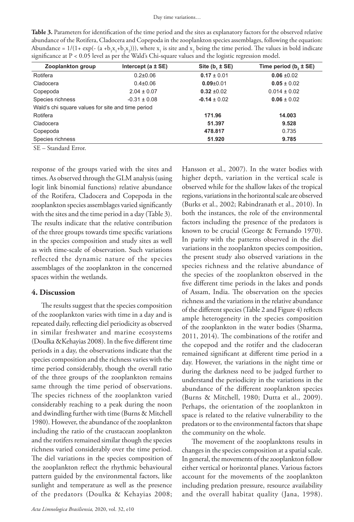**Table 3.** Parameters for identification of the time period and the sites as explanatory factors for the observed relative abundance of the Rotifera, Cladocera and Copepoda in the zooplankton species assemblages, following the equation: Abundance =  $1/(1 + \exp(-(a + b_1x_1 + b_2x_2)))$ , where  $x_1$  is site and  $x_2$  being the time period. The values in bold indicate significance at P < 0.05 level as per the Wald's Chi-square values and the logistic regression model.

| Zooplankton group                                 | Intercept $(a \pm SE)$ | Site $(b, \pm SE)$ | Time period $(b, \pm SE)$ |
|---------------------------------------------------|------------------------|--------------------|---------------------------|
| Rotifera                                          | $0.2 \pm 0.06$         | $0.17 \pm 0.01$    | $0.06 \pm 0.02$           |
| Cladocera                                         | $0.4 \pm 0.06$         | $0.09 + 0.01$      | $0.05 \pm 0.02$           |
| Copepoda                                          | $2.04 \pm 0.07$        | $0.32 \pm 0.02$    | $0.014 \pm 0.02$          |
| Species richness                                  | $-0.31 \pm 0.08$       | $-0.14 \pm 0.02$   | $0.06 \pm 0.02$           |
| Wald's chi square values for site and time period |                        |                    |                           |
| Rotifera                                          |                        | 171.96             | 14.003                    |
| Cladocera                                         |                        | 51.397             | 9.528                     |
| Copepoda                                          |                        | 478.817            | 0.735                     |
| Species richness                                  |                        | 51.920             | 9.785                     |
|                                                   |                        |                    |                           |

SE – Standard Error.

response of the groups varied with the sites and times. As observed through the GLM analysis (using logit link binomial functions) relative abundance of the Rotifera, Cladocera and Copepoda in the zooplankton species assemblages varied significantly with the sites and the time period in a day (Table 3). The results indicate that the relative contribution of the three groups towards time specific variations in the species composition and study sites as well as with time-scale of observation. Such variations reflected the dynamic nature of the species assemblages of the zooplankton in the concerned spaces within the wetlands.

#### **4. Discussion**

The results suggest that the species composition of the zooplankton varies with time in a day and is repeated daily, reflecting diel periodicity as observed in similar freshwater and marine ecosystems (Doulka &Kehayias 2008). In the five different time periods in a day, the observations indicate that the species composition and the richness varies with the time period considerably, though the overall ratio of the three groups of the zooplankton remains same through the time period of observations. The species richness of the zooplankton varied considerably reaching to a peak during the noon and dwindling further with time (Burns & Mitchell 1980). However, the abundance of the zooplankton including the ratio of the crustacean zooplankton and the rotifers remained similar though the species richness varied considerably over the time period. The diel variations in the species composition of the zooplankton reflect the rhythmic behavioural pattern guided by the environmental factors, like sunlight and temperature as well as the presence of the predators (Doulka & Kehayias 2008;

Hansson et al., 2007). In the water bodies with higher depth, variation in the vertical scale is observed while for the shallow lakes of the tropical regions, variations in the horizontal scale are observed (Burks et al., 2002; Rabindranath et al., 2010). In both the instances, the role of the environmental factors including the presence of the predators is known to be crucial (George & Fernando 1970). In parity with the patterns observed in the diel variations in the zooplankton species composition, the present study also observed variations in the species richness and the relative abundance of the species of the zooplankton observed in the five different time periods in the lakes and ponds of Assam, India. The observation on the species richness and the variations in the relative abundance of the different species (Table 2 and Figure 4) reflects ample heterogeneity in the species composition of the zooplankton in the water bodies (Sharma, 2011, 2014). The combinations of the rotifer and the copepod and the rotifer and the cladoceran remained significant at different time period in a day. However, the variations in the night time or during the darkness need to be judged further to understand the periodicity in the variations in the abundance of the different zooplankton species (Burns & Mitchell, 1980; Dutta et al., 2009). Perhaps, the orientation of the zooplankton in space is related to the relative vulnerability to the predators or to the environmental factors that shape the community on the whole.

The movement of the zooplanktons results in changes in the species composition at a spatial scale. In general, the movements of the zooplankton follow either vertical or horizontal planes. Various factors account for the movements of the zooplankton including predation pressure, resource availability and the overall habitat quality (Jana, 1998).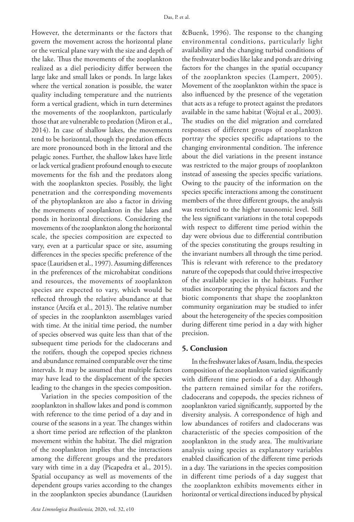However, the determinants or the factors that govern the movement across the horizontal plane or the vertical plane vary with the size and depth of the lake. Thus the movements of the zooplankton realized as a diel periodicity differ between the large lake and small lakes or ponds. In large lakes where the vertical zonation is possible, the water quality including temperature and the nutrients form a vertical gradient, which in turn determines the movements of the zooplankton, particularly those that are vulnerable to predation (Miron et al., 2014). In case of shallow lakes, the movements tend to be horizontal, though the predation effects are more pronounced both in the littoral and the pelagic zones. Further, the shallow lakes have little or lack vertical gradient profound enough to execute movements for the fish and the predators along with the zooplankton species. Possibly, the light penetration and the corresponding movements of the phytoplankton are also a factor in driving the movements of zooplankton in the lakes and ponds in horizontal directions. Considering the movements of the zooplankton along the horizontal scale, the species composition are expected to vary, even at a particular space or site, assuming differences in the species specific preference of the space (Lauridsen et al., 1997). Assuming differences in the preferences of the microhabitat conditions and resources, the movements of zooplankton species are expected to vary, which would be reflected through the relative abundance at that instance (Arcifa et al., 2013). The relative number of species in the zooplankton assemblages varied with time. At the initial time period, the number of species observed was quite less than that of the subsequent time periods for the cladocerans and the rotifers, though the copepod species richness and abundance remained comparable over the time intervals. It may be assumed that multiple factors may have lead to the displacement of the species leading to the changes in the species composition.

Variation in the species composition of the zooplankton in shallow lakes and pond is common with reference to the time period of a day and in course of the seasons in a year. The changes within a short time period are reflection of the plankton movement within the habitat. The diel migration of the zooplankton implies that the interactions among the different groups and the predators vary with time in a day (Picapedra et al., 2015). Spatial occupancy as well as movements of the dependent groups varies according to the changes in the zooplankton species abundance (Lauridsen

&Buenk, 1996). The response to the changing environmental conditions, particularly light availability and the changing turbid conditions of the freshwater bodies like lake and ponds are driving factors for the changes in the spatial occupancy of the zooplankton species (Lampert, 2005). Movement of the zooplankton within the space is also influenced by the presence of the vegetation that acts as a refuge to protect against the predators available in the same habitat (Wojtal et al., 2003). The studies on the diel migration and correlated responses of different groups of zooplankton portray the species specific adaptations to the changing environmental condition. The inference about the diel variations in the present instance was restricted to the major groups of zooplankton instead of assessing the species specific variations. Owing to the paucity of the information on the species specific interactions among the constituent members of the three different groups, the analysis was restricted to the higher taxonomic level. Still the less significant variations in the total copepods with respect to different time period within the day were obvious due to differential contribution of the species constituting the groups resulting in the invariant numbers all through the time period. This is relevant with reference to the predatory nature of the copepods that could thrive irrespective of the available species in the habitats. Further studies incorporating the physical factors and the biotic components that shape the zooplankton community organization may be studied to infer about the heterogeneity of the species composition during different time period in a day with higher precision.

#### **5. Conclusion**

In the freshwater lakes of Assam, India, the species composition of the zooplankton varied significantly with different time periods of a day. Although the pattern remained similar for the rotifers, cladocerans and copepods, the species richness of zooplankton varied significantly, supported by the diversity analysis. A correspondence of high and low abundances of rotifers and cladocerans was characteristic of the species composition of the zooplankton in the study area. The multivariate analysis using species as explanatory variables enabled classification of the different time periods in a day. The variations in the species composition in different time periods of a day suggest that the zooplankton exhibits movements either in horizontal or vertical directions induced by physical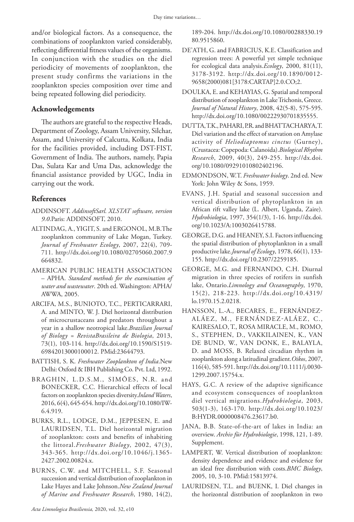and/or biological factors. As a consequence, the combinations of zooplankton varied considerably, reflecting differential fitness values of the organisms. In conjunction with the studies on the diel periodicity of movements of zooplankton, the present study confirms the variations in the zooplankton species composition over time and being repeated following diel periodicity.

### **Acknowledgements**

The authors are grateful to the respective Heads, Department of Zoology, Assam University, Silchar, Assam, and University of Calcutta, Kolkata, India for the facilities provided, including DST-FIST, Government of India. The authors, namely, Papia Das, Sulata Kar and Uma Das, acknowledge the financial assistance provided by UGC, India in carrying out the work.

## **References**

- ADDINSOFT. *AddinsoftSarl. XLSTAT software, version 9.0*.Paris: ADDINSOFT, 2010.
- ALTINDAG, A., YIGIT, S. and ERGONOL, M.B.The zooplankton community of Lake Mogan, Turkey. *Journal of Freshwater Ecology*, 2007, 22(4), 709- 711. http://dx.doi.org/10.1080/02705060.2007.9 664832.
- AMERICAN PUBLIC HEALTH ASSOCIATION – APHA. *Standard methods for the examination of water and wastewater*. 20th ed. Washington: APHA/ AWWA, 2005.
- ARCIFA, M.S., BUNIOTO, T.C., PERTICARRARI, A. and MINTO, W. J. Diel horizontal distribution of microcrustaceans and predators throughout a year in a shallow neotropical lake.*Brazilian Journal of Biology = RevistaBrasileira de Biologia*, 2013, 73(1), 103-114. http://dx.doi.org/10.1590/S1519- 69842013000100012. PMid:23644793.
- BATTISH, S. K. *Freshwater Zooplankton of India*.New Delhi: Oxford & IBH Publishing Co. Pvt. Ltd, 1992.
- BRAGHIN, L.D.S.M., SIMÕES, N.R. and BONECKER, C.C. Hierarchical effects of local factors on zooplankton species diversity.*Inland Waters*, 2016, 6(4), 645-654. http://dx.doi.org/10.1080/IW-6.4.919.
- BURKS, R.L., LODGE, D.M., JEPPESEN, E. and LAURIDSEN, T.L. Diel horizontal migration of zooplankton: costs and benefits of inhabiting the littoral.*Freshwater Biology*, 2002, 47(3), 343-365. http://dx.doi.org/10.1046/j.1365- 2427.2002.00824.x.
- BURNS, C.W. and MITCHELL, S.F. Seasonal succession and vertical distribution of zooplankton in Lake Hayes and Lake Johnson.*New Zealand Journal of Marine and Freshwater Research*, 1980, 14(2),

189-204. http://dx.doi.org/10.1080/00288330.19 80.9515860.

- DE'ATH, G. and FABRICIUS, K.E. Classification and regression trees: A powerful yet simple technique for ecological data analysis.*Ecology*, 2000, 81(11), 3178-3192. http://dx.doi.org/10.1890/0012- 9658(2000)081[3178:CARTAP]2.0.CO;2.
- DOULKA, E. and KEHAYIAS, G. Spatial and temporal distribution of zooplankton in Lake Trichonis, Greece. *Journal of Natural History*, 2008, 42(5-8), 575-595. http://dx.doi.org/10.1080/00222930701835555.
- DUTTA, T.K., PAHARI, P.R. and BHATTACHARYA, T. Diel variation and the effect of starvation on Amylase activity of *Heliodiaptomus cinctus* (Gurney), (Crustacea: Copepoda: Calanoida).*Biological Rhythm Research*, 2009, 40(3), 249-255. http://dx.doi. org/10.1080/09291010802402196.
- EDMONDSON, W.T. *Freshwater biology*. 2nd ed. New York: John Wiley & Sons, 1959.
- EVANS, J.H. Spatial and seasonal succession and vertical distribution of phytoplankton in an African rift valley lake (L. Albert, Uganda, Zaire). *Hydrobiologia*, 1997, 354(1/3), 1-16. http://dx.doi. org/10.1023/A:1003026415788.
- GEORGE, D.G. and HEANEY, S.I. Factors influencing the spatial distribution of phytoplankton in a small productive lake.*Journal of Ecology*, 1978, 66(1), 133- 155. http://dx.doi.org/10.2307/2259185.
- GEORGE, M.G. and FERNANDO, C.H. Diurnal migration in three species of rotifers in sunfish lake, Ontario.*Limnology and Oceanography*, 1970, 15(2), 218-223. http://dx.doi.org/10.4319/ lo.1970.15.2.0218.
- HANSSON, L.-A., BECARES, E., FERNÁNDEZ-ALÁEZ, M., FERNÁNDEZ-ALÁEZ, C., KAIRESALO, T., ROSA MIRACLE, M., ROMO, S., STEPHEN, D., VAKKILAINEN, K., VAN DE BUND, W., VAN DONK, E., BALAYLA, D. and MOSS, B. Relaxed circadian rhythm in zooplankton along a latitudinal gradient.*Oikos*, 2007, 116(4), 585-591. http://dx.doi.org/10.1111/j.0030- 1299.2007.15754.x.
- HAYS, G.C. A review of the adaptive significance and ecosystem consequences of zooplankton diel vertical migrations.*Hydrobiologia*, 2003, 503(1-3), 163-170. http://dx.doi.org/10.1023/ B:HYDR.0000008476.23617.b0.
- JANA, B.B. State-of-the-art of lakes in India: an overview. *Archiv für Hydrobiologie*, 1998, 121, 1-89. Supplement.
- LAMPERT, W. Vertical distribution of zooplankton: density dependence and evidence and evidence for an ideal free distribution with costs.*BMC Biology*, 2005, 10, 3-10. PMid:15813974.
- LAURIDSEN, T.L. and BUENK, I. Diel changes in the horizontal distribution of zooplankton in two